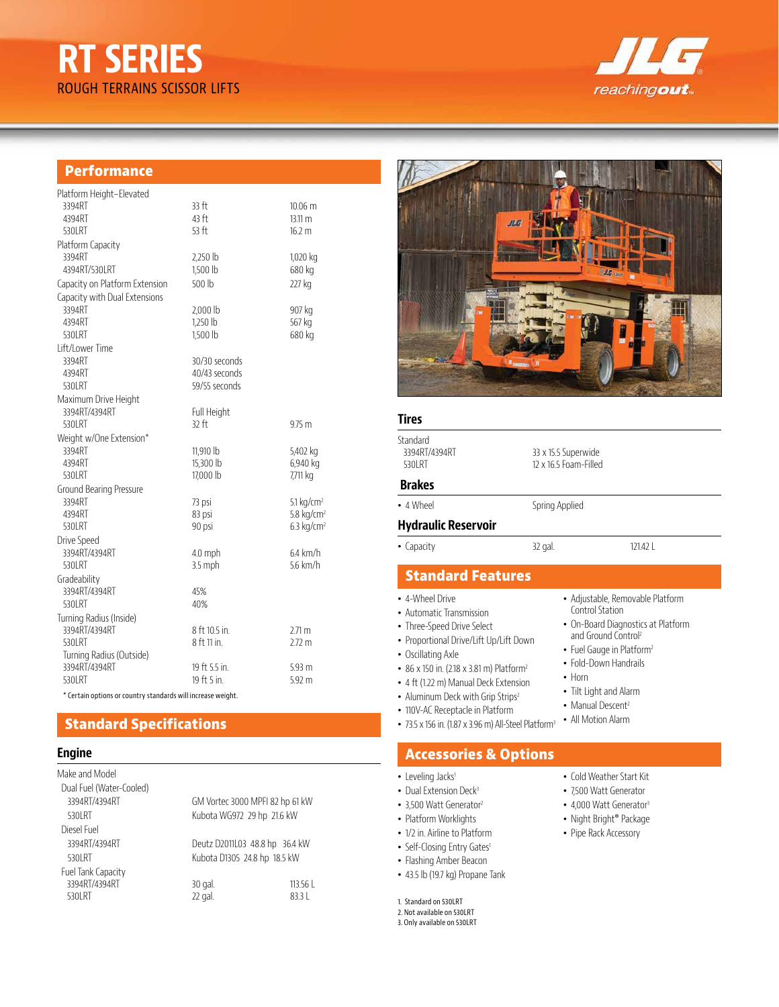# **RT SERIES** ROUGH TERRAINS SCISSOR LIFTS



#### **Performance**

| Platform Height-Elevated                  | 33 ft                  |                              |
|-------------------------------------------|------------------------|------------------------------|
| 3394RT<br>4394RT                          | 43 ft                  | $10.06 \text{ m}$<br>13.11 m |
| 530LRT                                    | 53 ft                  | 16.2 m                       |
| Platform Capacity                         |                        |                              |
| 3394RT                                    | 2,250 lb               | 1,020 kg                     |
| 4394RT/530LRT                             | 1.500 lb               | 680 kg                       |
| Capacity on Platform Extension            | 500 lb                 | 227 kg                       |
| Capacity with Dual Extensions             |                        |                              |
| 3394RT                                    | $2,000$ lb             | 907 kg                       |
| 4394RT                                    | $1.250$ lb             | 567 kg                       |
| 530LRT                                    | 1,500 lb               | 680 kg                       |
| Lift/Lower Time                           |                        |                              |
| 3394RT                                    | 30/30 seconds          |                              |
| 4394RT                                    | 40/43 seconds          |                              |
| 530 RT                                    | 59/55 seconds          |                              |
| Maximum Drive Height                      |                        |                              |
| 3394RT/4394RT                             | Full Height            |                              |
| 530 RT                                    | $32$ ft                | $9.75$ m                     |
| Weight w/One Extension*<br>3394RT         |                        |                              |
| 4394RT                                    | 11,910 lb<br>15,300 lb | 5,402 kg<br>6,940 kg         |
| 530LRT                                    | 17,000 lb              | 7,711 kg                     |
| <b>Ground Bearing Pressure</b>            |                        |                              |
| 3394RT                                    | 73 psi                 | $5.1 \text{ kg/cm}^2$        |
| 4394RT                                    | 83 psi                 | 5.8 $kg/cm2$                 |
| 530LRT                                    | 90 psi                 | $6.3$ kg/cm <sup>2</sup>     |
| Drive Speed                               |                        |                              |
| 3394RT/4394RT                             | $4.0$ mph              | $64$ km/h                    |
| 530 RT                                    | 3.5 mph                | 56 km/h                      |
| Gradeability                              |                        |                              |
| 3394RT/4394RT                             | 45%                    |                              |
| 530 RT                                    | 40%                    |                              |
| Turning Radius (Inside)                   |                        |                              |
| 3394RT/4394RT                             | 8 ft 10.5 in.          | $2.71 \text{ m}$             |
| 530LRT                                    | 8 ft 11 in.            | $2.72 \text{ m}$             |
| Turning Radius (Outside)<br>3394RT/4394RT | 19 ft 5.5 in.          |                              |
| 530LRT                                    | 19 ft 5 in.            | 5.93 m<br>$5.92 \text{ m}$   |
|                                           |                        |                              |

\* Certain options or country standards will increase weight.

## **Standard Specifications**

#### **Engine**

| Make and Model           |                                 |        |  |
|--------------------------|---------------------------------|--------|--|
| Dual Fuel (Water-Cooled) |                                 |        |  |
| 3394RT/4394RT            | GM Vortec 3000 MPFI 82 hp 61 kW |        |  |
| 530 RT                   | Kubota WG972 29 hp 21.6 kW      |        |  |
| Diesel Fuel              |                                 |        |  |
| 3394RT/4394RT            | Deutz D2011L03 48.8 hp 36.4 kW  |        |  |
| 530 RT                   | Kubota D1305 24.8 hp 18.5 kW    |        |  |
| Fuel Tank Capacity       |                                 |        |  |
| 3394RT/4394RT            | 30 gal.                         | 113.56 |  |
| 530 RT                   | 22 gal.                         | 8331   |  |



#### **Tires**

| Standard<br>3394RT/4394RT<br>530 RT                                       | 33 x 15.5 Superwide<br>12 x 16.5 Foam-Filled |                                                                                           |  |  |
|---------------------------------------------------------------------------|----------------------------------------------|-------------------------------------------------------------------------------------------|--|--|
| <b>Brakes</b>                                                             |                                              |                                                                                           |  |  |
| • 4 Wheel                                                                 | Spring Applied                               |                                                                                           |  |  |
| <b>Hydraulic Reservoir</b>                                                |                                              |                                                                                           |  |  |
| • Capacity                                                                | 32 gal.                                      | 12142                                                                                     |  |  |
| <b>Standard Features</b>                                                  |                                              |                                                                                           |  |  |
| • 4-Wheel Drive<br>• Automatic Transmission<br>• Three-Sneed Drive Select |                                              | • Adjustable, Removable Platform<br>Control Station<br>• On-Board Diagnostics at Platform |  |  |

- Three-Speed Drive Select
- Proportional Drive/Lift Up/Lift Down
- Oscillating Axle
- 86 x 150 in. (2.18 x 3.81 m) Platform<sup>2</sup>
- 4 ft (1.22 m) Manual Deck Extension
- Aluminum Deck with Grip Strips<sup>2</sup>
- 110V-AC Receptacle in Platform
- 73.5 x 156 in. (1.87 x 3.96 m) All-Steel Platform<sup>3</sup>

## **Accessories & Options**

- Leveling Jacks<sup>1</sup>
- Dual Extension Deck<sup>3</sup>
- 3,500 Watt Generator<sup>2</sup>
- Platform Worklights
- 1/2 in. Airline to Platform
- Self-Closing Entry Gates1
- Flashing Amber Beacon
- 43.5 lb (19.7 kg) Propane Tank

1. Standard on 530LRT

- 2. Not available on 530LRT
- 3. Only available on 530LRT

• Cold Weather Start Kit

and Ground Control<sup>2</sup> • Fuel Gauge in Platform<sup>2</sup> • Fold-Down Handrails

• Tilt Light and Alarm • Manual Descent<sup>2</sup> • All Motion Alarm

• Horn

- 7,500 Watt Generator
- 4,000 Watt Generator<sup>3</sup>
- Night Bright® Package
- Pipe Rack Accessory